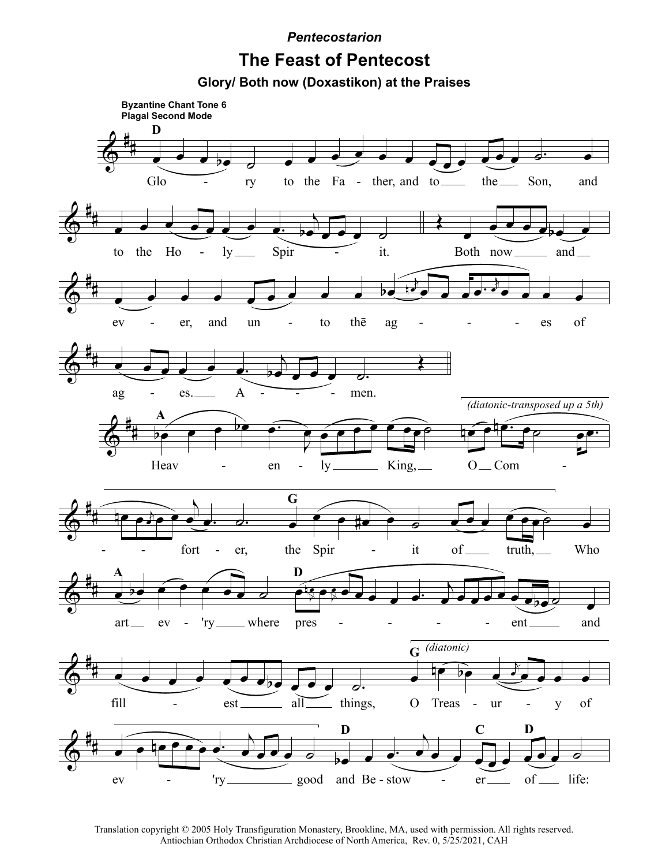**Pentecostarion** 

## **The Feast of Pentecost**

Glory/ Both now (Doxastikon) at the Praises



Translation copyright © 2005 Holy Transfiguration Monastery, Brookline, MA, used with permission. All rights reserved. Antiochian Orthodox Christian Archdiocese of North America, Rev. 0, 5/25/2021, CAH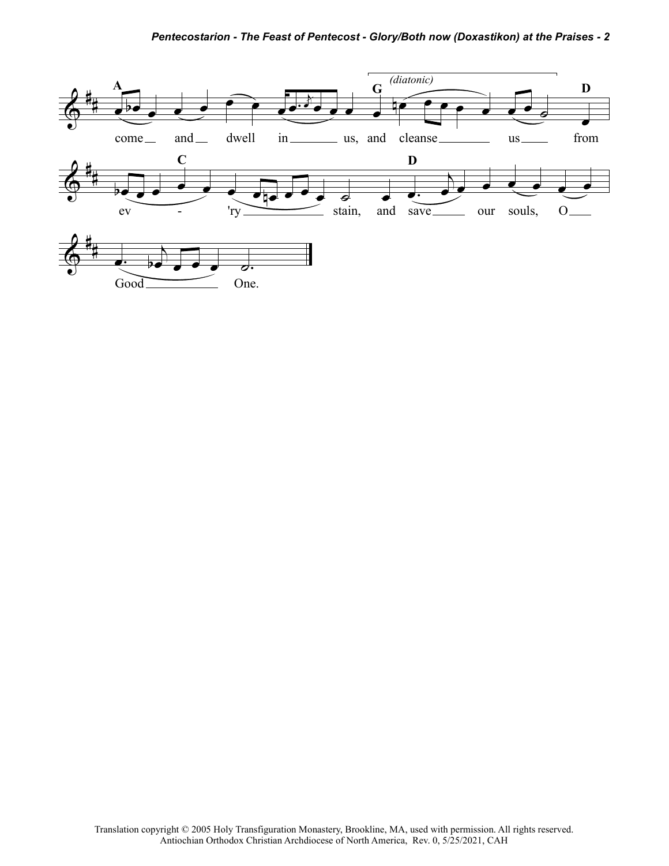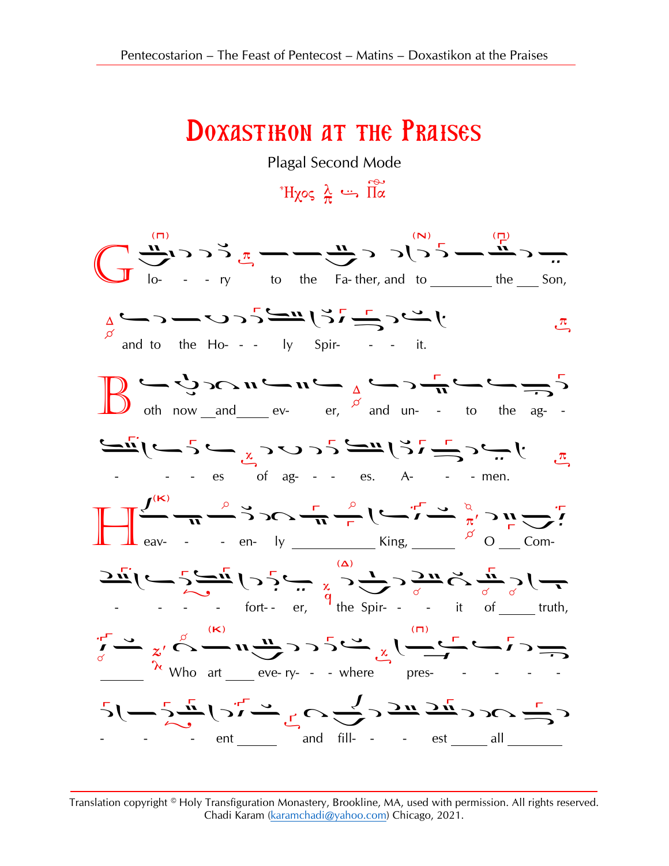## **DOXASTIRON AT THE PRAISES**

Plagal Second Mode

 $\sum_{\alpha}^{\infty}$  if  $\sum_{\alpha}^{\infty}$ 



Translation copyright © Holy Transfiguration Monastery, Brookline, MA, used with permission. All rights reserved. Chadi Karam (karamchadi@yahoo.com) Chicago, 2021.